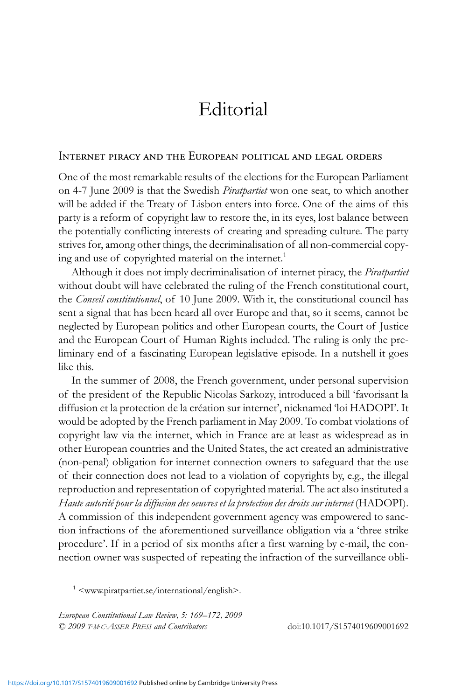## Editorial

## Internet piracy and the European political and legal orders

One of the most remarkable results of the elections for the European Parliament on 4-7 June 2009 is that the Swedish *Piratpartiet* won one seat, to which another will be added if the Treaty of Lisbon enters into force. One of the aims of this party is a reform of copyright law to restore the, in its eyes, lost balance between the potentially conflicting interests of creating and spreading culture. The party strives for, among other things, the decriminalisation of all non-commercial copying and use of copyrighted material on the internet.<sup>1</sup>

Although it does not imply decriminalisation of internet piracy, the *Piratpartiet* without doubt will have celebrated the ruling of the French constitutional court, the *Conseil constitutionnel*, of 10 June 2009. With it, the constitutional council has sent a signal that has been heard all over Europe and that, so it seems, cannot be neglected by European politics and other European courts, the Court of Justice and the European Court of Human Rights included. The ruling is only the preliminary end of a fascinating European legislative episode. In a nutshell it goes like this.

In the summer of 2008, the French government, under personal supervision of the president of the Republic Nicolas Sarkozy, introduced a bill 'favorisant la diffusion et la protection de la création sur internet', nicknamed 'loi HADOPI'. It would be adopted by the French parliament in May 2009. To combat violations of copyright law via the internet, which in France are at least as widespread as in other European countries and the United States, the act created an administrative (non-penal) obligation for internet connection owners to safeguard that the use of their connection does not lead to a violation of copyrights by, e.g., the illegal reproduction and representation of copyrighted material. The act also instituted a *Haute autorité pour la diffusion des oeuvres et la protection des droits sur internet* (HADOPI). A commission of this independent government agency was empowered to sanction infractions of the aforementioned surveillance obligation via a 'three strike procedure'. If in a period of six months after a first warning by e-mail, the connection owner was suspected of repeating the infraction of the surveillance obli-

<sup>1</sup> <www.piratpartiet.se/international/english>.

*European Constitutional Law Review, 5: 169–172, 2009 © 2009 T.M.C.ASSER PRESS and Contributors* doi:10.1017/S1574019609001692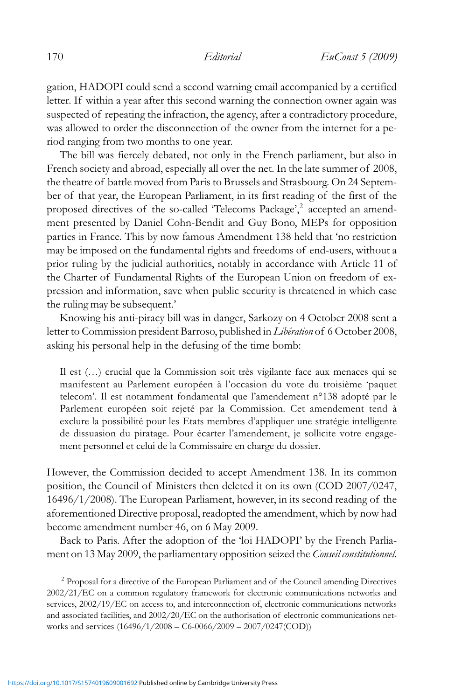gation, HADOPI could send a second warning email accompanied by a certified letter. If within a year after this second warning the connection owner again was suspected of repeating the infraction, the agency, after a contradictory procedure, was allowed to order the disconnection of the owner from the internet for a period ranging from two months to one year.

The bill was fiercely debated, not only in the French parliament, but also in French society and abroad, especially all over the net. In the late summer of 2008, the theatre of battle moved from Paris to Brussels and Strasbourg. On 24 September of that year, the European Parliament, in its first reading of the first of the proposed directives of the so-called 'Telecoms Package',<sup>2</sup> accepted an amendment presented by Daniel Cohn-Bendit and Guy Bono, MEPs for opposition parties in France. This by now famous Amendment 138 held that 'no restriction may be imposed on the fundamental rights and freedoms of end-users, without a prior ruling by the judicial authorities, notably in accordance with Article 11 of the Charter of Fundamental Rights of the European Union on freedom of expression and information, save when public security is threatened in which case the ruling may be subsequent.'

Knowing his anti-piracy bill was in danger, Sarkozy on 4 October 2008 sent a letter to Commission president Barroso, published in *Libération* of 6 October 2008, asking his personal help in the defusing of the time bomb:

Il est (…) crucial que la Commission soit très vigilante face aux menaces qui se manifestent au Parlement européen à l'occasion du vote du troisième 'paquet telecom'. Il est notamment fondamental que l'amendement n°138 adopté par le Parlement européen soit rejeté par la Commission. Cet amendement tend à exclure la possibilité pour les Etats membres d'appliquer une stratégie intelligente de dissuasion du piratage. Pour écarter l'amendement, je sollicite votre engagement personnel et celui de la Commissaire en charge du dossier.

However, the Commission decided to accept Amendment 138. In its common position, the Council of Ministers then deleted it on its own (COD 2007/0247, 16496/1/2008). The European Parliament, however, in its second reading of the aforementioned Directive proposal, readopted the amendment, which by now had become amendment number 46, on 6 May 2009.

Back to Paris. After the adoption of the 'loi HADOPI' by the French Parliament on 13 May 2009, the parliamentary opposition seized the *Conseil constitutionnel*.

<sup>2</sup> Proposal for a directive of the European Parliament and of the Council amending Directives 2002/21/EC on a common regulatory framework for electronic communications networks and services, 2002/19/EC on access to, and interconnection of, electronic communications networks and associated facilities, and 2002/20/EC on the authorisation of electronic communications networks and services (16496/1/2008 – C6-0066/2009 – 2007/0247(COD))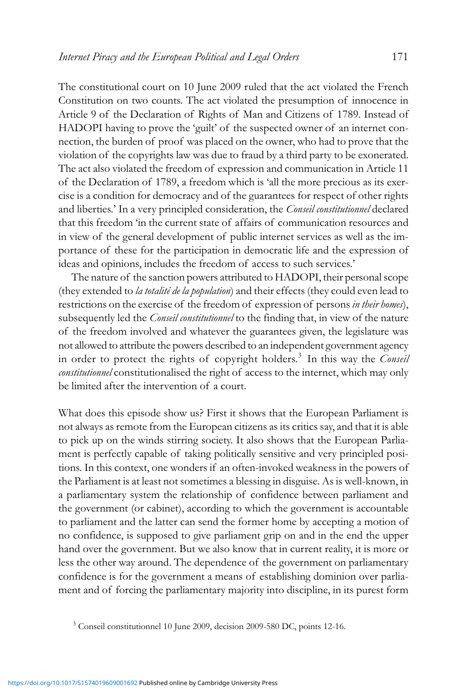The constitutional court on 10 June 2009 ruled that the act violated the French Constitution on two counts. The act violated the presumption of innocence in Article 9 of the Declaration of Rights of Man and Citizens of 1789. Instead of HADOPI having to prove the 'guilt' of the suspected owner of an internet connection, the burden of proof was placed on the owner, who had to prove that the violation of the copyrights law was due to fraud by a third party to be exonerated. The act also violated the freedom of expression and communication in Article 11 of the Declaration of 1789, a freedom which is 'all the more precious as its exercise is a condition for democracy and of the guarantees for respect of other rights and liberties.' In a very principled consideration, the *Conseil constitutionnel* declared that this freedom 'in the current state of affairs of communication resources and in view of the general development of public internet services as well as the importance of these for the participation in democratic life and the expression of ideas and opinions, includes the freedom of access to such services.'

The nature of the sanction powers attributed to HADOPI, their personal scope (they extended to *la totalité de la population*) and their effects (they could even lead to restrictions on the exercise of the freedom of expression of persons *in their homes*), subsequently led the *Conseil constitutionnel* to the finding that, in view of the nature of the freedom involved and whatever the guarantees given, the legislature was not allowed to attribute the powers described to an independent government agency in order to protect the rights of copyright holders.<sup>3</sup> In this way the *Conseil constitutionnel* constitutionalised the right of access to the internet, which may only be limited after the intervention of a court.

What does this episode show us? First it shows that the European Parliament is not always as remote from the European citizens as its critics say, and that it is able to pick up on the winds stirring society. It also shows that the European Parliament is perfectly capable of taking politically sensitive and very principled positions. In this context, one wonders if an often-invoked weakness in the powers of the Parliament is at least not sometimes a blessing in disguise. As is well-known, in a parliamentary system the relationship of confidence between parliament and the government (or cabinet), according to which the government is accountable to parliament and the latter can send the former home by accepting a motion of no confidence, is supposed to give parliament grip on and in the end the upper hand over the government. But we also know that in current reality, it is more or less the other way around. The dependence of the government on parliamentary confidence is for the government a means of establishing dominion over parliament and of forcing the parliamentary majority into discipline, in its purest form

<sup>3</sup> Conseil constitutionnel 10 June 2009, decision 2009-580 DC, points 12-16.